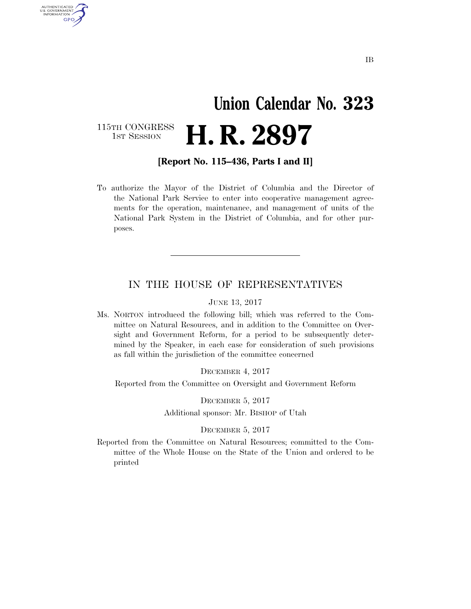## **Union Calendar No. 323**  H. R. 2897

115TH CONGRESS<br>1st Session

U.S. GOVERNMENT GPO

**[Report No. 115–436, Parts I and II]** 

To authorize the Mayor of the District of Columbia and the Director of the National Park Service to enter into cooperative management agreements for the operation, maintenance, and management of units of the National Park System in the District of Columbia, and for other purposes.

### IN THE HOUSE OF REPRESENTATIVES

#### JUNE 13, 2017

Ms. NORTON introduced the following bill; which was referred to the Committee on Natural Resources, and in addition to the Committee on Oversight and Government Reform, for a period to be subsequently determined by the Speaker, in each case for consideration of such provisions as fall within the jurisdiction of the committee concerned

DECEMBER 4, 2017

Reported from the Committee on Oversight and Government Reform

DECEMBER 5, 2017

Additional sponsor: Mr. BISHOP of Utah

#### DECEMBER 5, 2017

Reported from the Committee on Natural Resources; committed to the Committee of the Whole House on the State of the Union and ordered to be printed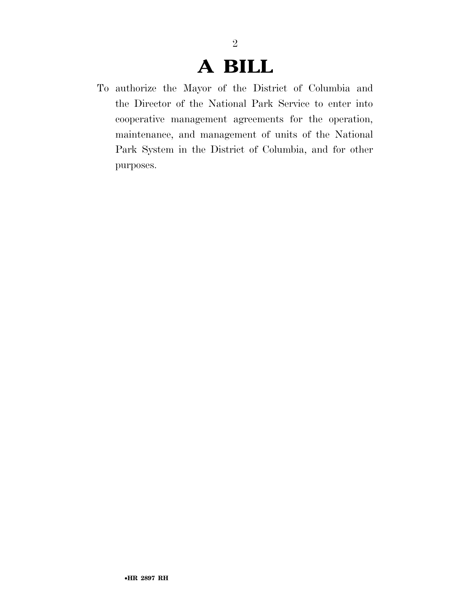2

To authorize the Mayor of the District of Columbia and the Director of the National Park Service to enter into cooperative management agreements for the operation, maintenance, and management of units of the National Park System in the District of Columbia, and for other purposes.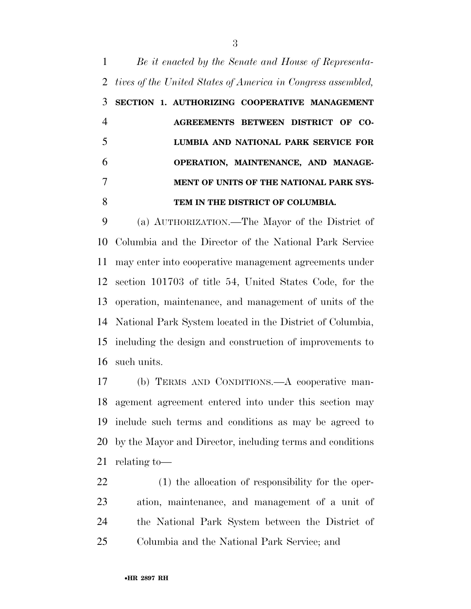*Be it enacted by the Senate and House of Representa- tives of the United States of America in Congress assembled,*  **SECTION 1. AUTHORIZING COOPERATIVE MANAGEMENT AGREEMENTS BETWEEN DISTRICT OF CO- LUMBIA AND NATIONAL PARK SERVICE FOR OPERATION, MAINTENANCE, AND MANAGE- MENT OF UNITS OF THE NATIONAL PARK SYS-TEM IN THE DISTRICT OF COLUMBIA.** 

 (a) AUTHORIZATION.—The Mayor of the District of Columbia and the Director of the National Park Service may enter into cooperative management agreements under section 101703 of title 54, United States Code, for the operation, maintenance, and management of units of the National Park System located in the District of Columbia, including the design and construction of improvements to such units.

 (b) TERMS AND CONDITIONS.—A cooperative man- agement agreement entered into under this section may include such terms and conditions as may be agreed to by the Mayor and Director, including terms and conditions relating to—

 (1) the allocation of responsibility for the oper- ation, maintenance, and management of a unit of the National Park System between the District of Columbia and the National Park Service; and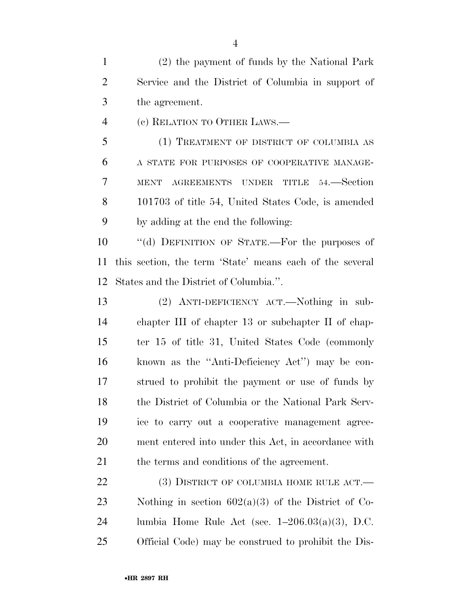(2) the payment of funds by the National Park Service and the District of Columbia in support of the agreement.

(c) RELATION TO OTHER LAWS.—

 (1) TREATMENT OF DISTRICT OF COLUMBIA AS A STATE FOR PURPOSES OF COOPERATIVE MANAGE- MENT AGREEMENTS UNDER TITLE 54.—Section 101703 of title 54, United States Code, is amended by adding at the end the following:

 ''(d) DEFINITION OF STATE.—For the purposes of this section, the term 'State' means each of the several States and the District of Columbia.''.

 (2) ANTI-DEFICIENCY ACT.—Nothing in sub- chapter III of chapter 13 or subchapter II of chap- ter 15 of title 31, United States Code (commonly known as the ''Anti-Deficiency Act'') may be con- strued to prohibit the payment or use of funds by the District of Columbia or the National Park Serv- ice to carry out a cooperative management agree- ment entered into under this Act, in accordance with the terms and conditions of the agreement.

22 (3) DISTRICT OF COLUMBIA HOME RULE ACT.— Nothing in section 602(a)(3) of the District of Co-24 lumbia Home Rule Act (sec.  $1-206.03(a)(3)$ , D.C. Official Code) may be construed to prohibit the Dis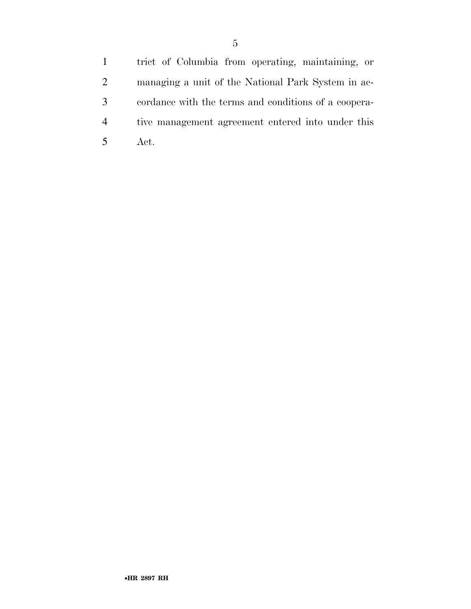trict of Columbia from operating, maintaining, or managing a unit of the National Park System in ac- cordance with the terms and conditions of a coopera- tive management agreement entered into under this Act.